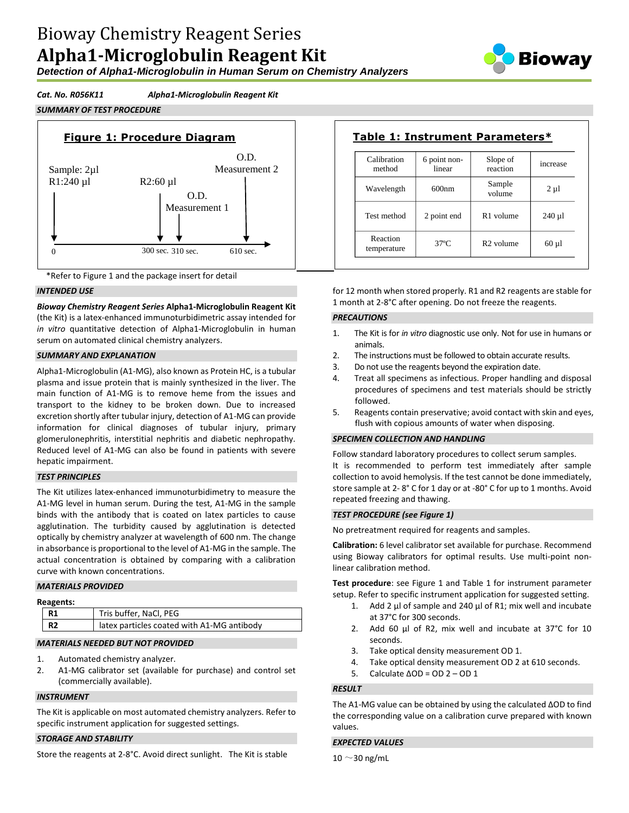# Bioway Chemistry Reagent Series **Alpha1-Microglobulin Reagent Kit**

*Detection of Alpha1-Microglobulin in Human Serum on Chemistry Analyzers*



### *Cat. No. R056K11 Alpha1-Microglobulin Reagent Kit*







#### *INTENDED USE*

*Bioway Chemistry Reagent Series* **Alpha1-Microglobulin Reagent Kit**  (the Kit) is a latex-enhanced immunoturbidimetric assay intended for *in vitro* quantitative detection of Alpha1-Microglobulin in human serum on automated clinical chemistry analyzers.

#### *SUMMARY AND EXPLANATION*

Alpha1-Microglobulin (A1-MG), also known as Protein HC, is a tubular plasma and issue protein that is mainly synthesized in the liver. The main function of A1-MG is to remove heme from the issues and transport to the kidney to be broken down. Due to increased excretion shortly after tubular injury, detection of A1-MG can provide information for clinical diagnoses of tubular injury, primary glomerulonephritis, interstitial nephritis and diabetic nephropathy. Reduced level of A1-MG can also be found in patients with severe hepatic impairment.

#### *TEST PRINCIPLES*

The Kit utilizes latex-enhanced immunoturbidimetry to measure the A1-MG level in human serum. During the test, A1-MG in the sample binds with the antibody that is coated on latex particles to cause agglutination. The turbidity caused by agglutination is detected optically by chemistry analyzer at wavelength of 600 nm. The change in absorbance is proportional to the level of A1-MG in the sample. The actual concentration is obtained by comparing with a calibration curve with known concentrations.

#### *MATERIALS PROVIDED*

| R1             | Tris buffer, NaCl, PEG                     |
|----------------|--------------------------------------------|
| R <sub>2</sub> | latex particles coated with A1-MG antibody |

## *MATERIALS NEEDED BUT NOT PROVIDED*

- 1. Automated chemistry analyzer.
- 2. A1-MG calibrator set (available for purchase) and control set (commercially available).

#### *INSTRUMENT*

The Kit is applicable on most automated chemistry analyzers. Refer to specific instrument application for suggested settings.

#### *STORAGE AND STABILITY*

Store the reagents at 2-8°C. Avoid direct sunlight. The Kit is stable

| Calibration<br>method   | 6 point non-<br>linear | Slope of<br>reaction  | increase   |
|-------------------------|------------------------|-----------------------|------------|
| Wavelength              | 600nm                  | Sample<br>volume      | $2 \mu l$  |
| Test method             | 2 point end            | R <sub>1</sub> volume | $240 \mu$  |
| Reaction<br>temperature | $37^{\circ}$ C         | R <sub>2</sub> volume | $60 \mu l$ |

for 12 month when stored properly. R1 and R2 reagents are stable for 1 month at 2-8°C after opening. Do not freeze the reagents.

#### *PRECAUTIONS*

- 1. The Kit is for *in vitro* diagnostic use only. Not for use in humans or animals.
- 2. The instructions must be followed to obtain accurate results.
- 3. Do not use the reagents beyond the expiration date.
- 4. Treat all specimens as infectious. Proper handling and disposal procedures of specimens and test materials should be strictly followed.
- 5. Reagents contain preservative; avoid contact with skin and eyes, flush with copious amounts of water when disposing.

#### *SPECIMEN COLLECTION AND HANDLING*

Follow standard laboratory procedures to collect serum samples. It is recommended to perform test immediately after sample collection to avoid hemolysis. If the test cannot be done immediately, store sample at 2- 8° C for 1 day or at -80° C for up to 1 months. Avoid repeated freezing and thawing.

#### *TEST PROCEDURE (see Figure 1)*

No pretreatment required for reagents and samples.

**Calibration:** 6 level calibrator set available for purchase. Recommend using Bioway calibrators for optimal results. Use multi-point nonlinear calibration method.

**Test procedure**: see Figure 1 and Table 1 for instrument parameter setup. Refer to specific instrument application for suggested setting.

- 1. Add 2  $\mu$ l of sample and 240  $\mu$ l of R1; mix well and incubate at 37°C for 300 seconds.
- 2. Add 60 µl of R2, mix well and incubate at 37°C for 10 seconds.
- 3. Take optical density measurement OD 1.
- 4. Take optical density measurement OD 2 at 610 seconds.
- 5. Calculate ΔOD = OD 2 OD 1

#### *RESULT*

The A1-MG value can be obtained by using the calculated ΔOD to find the corresponding value on a calibration curve prepared with known values.

#### *EXPECTED VALUES*

 $10 \sim 30$  ng/mL